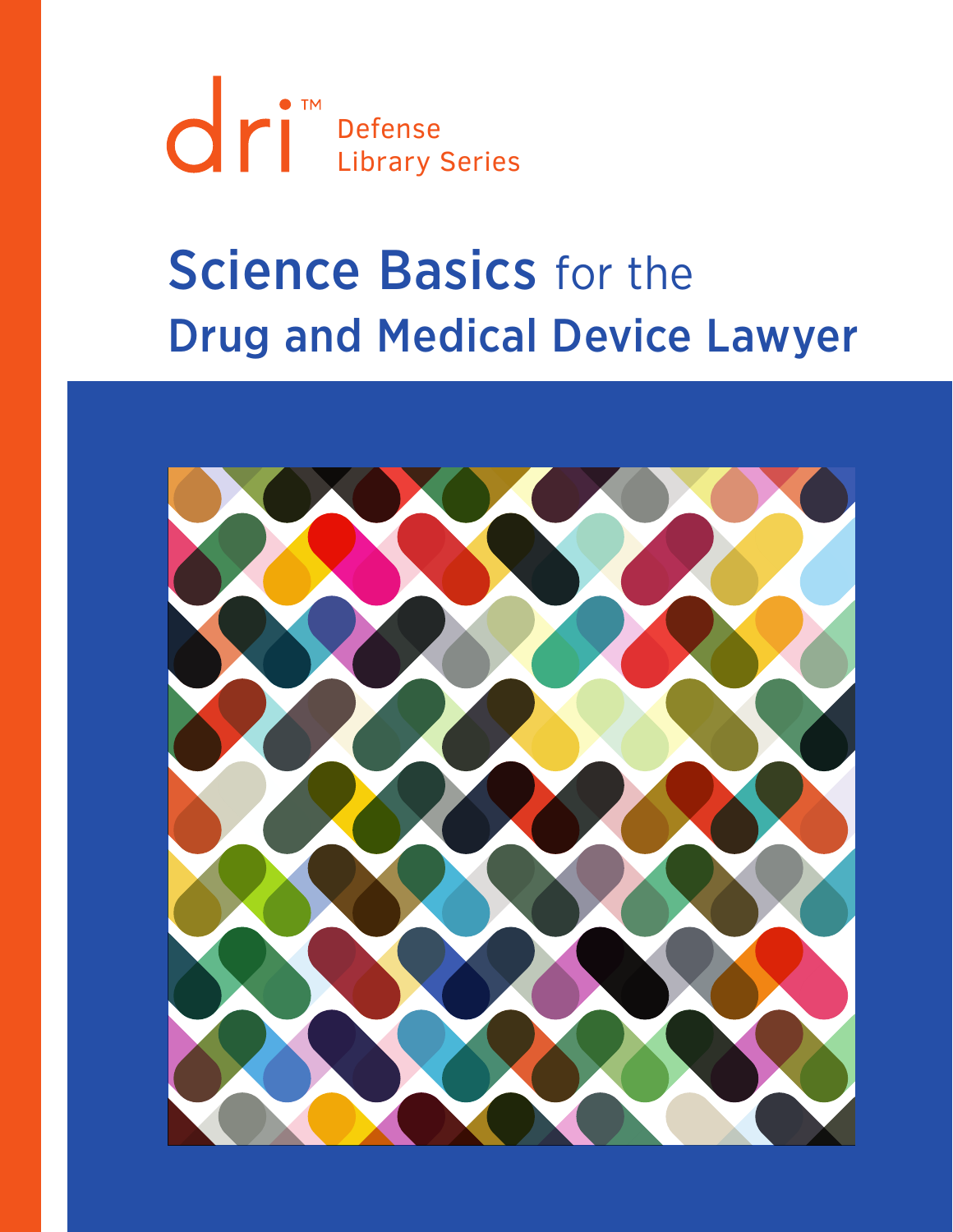Defense Library Series

# **Science Basics for the** Drug and Medical Device Lawyer

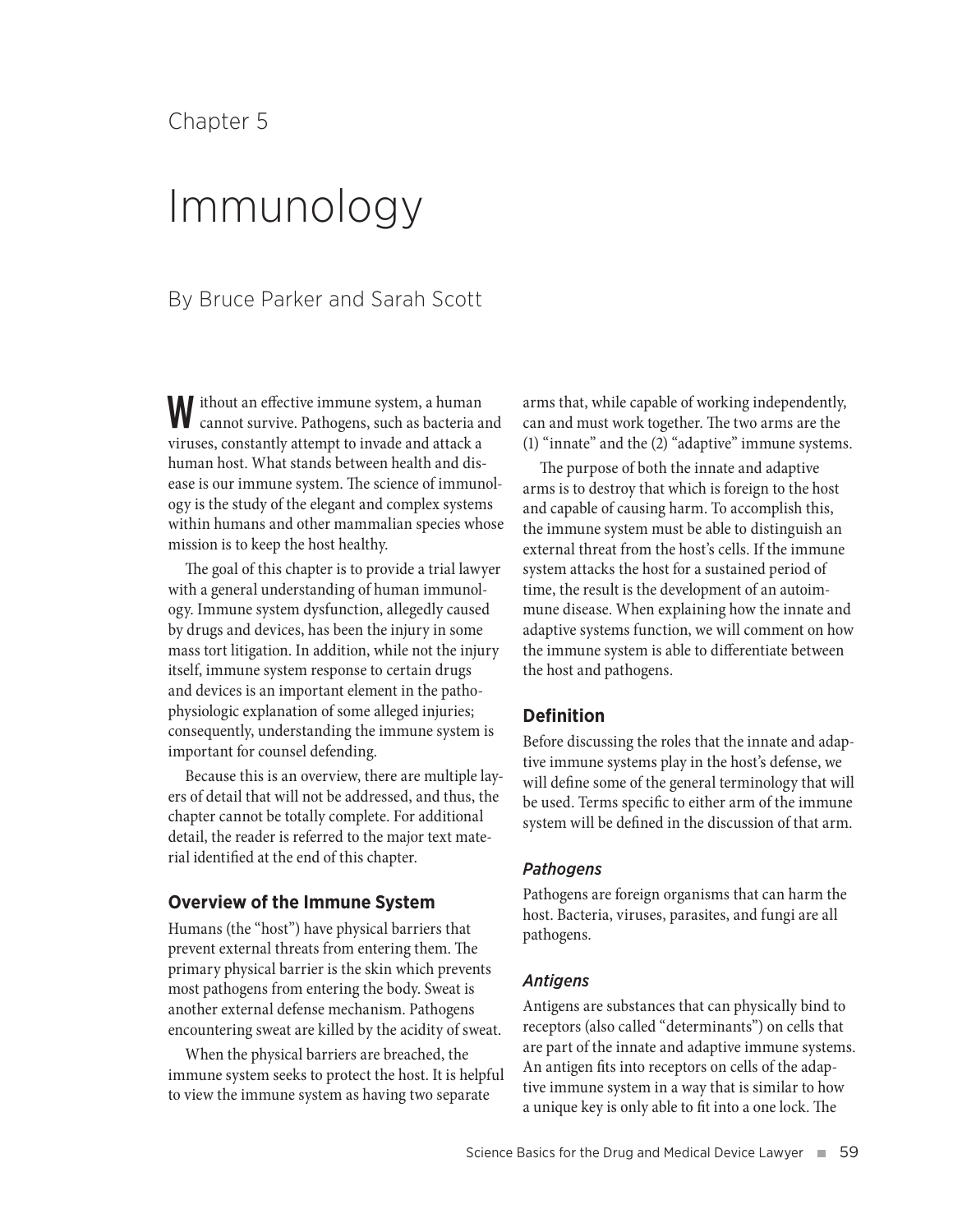# Chapter 5

# Immunology

# By Bruce Parker and Sarah Scott

Without an effective immune system, a human cannot survive. Pathogens, such as bacteria and viruses, constantly attempt to invade and attack a human host. What stands between health and disease is our immune system. The science of immunology is the study of the elegant and complex systems within humans and other mammalian species whose mission is to keep the host healthy.

The goal of this chapter is to provide a trial lawyer with a general understanding of human immunology. Immune system dysfunction, allegedly caused by drugs and devices, has been the injury in some mass tort litigation. In addition, while not the injury itself, immune system response to certain drugs and devices is an important element in the pathophysiologic explanation of some alleged injuries; consequently, understanding the immune system is important for counsel defending.

Because this is an overview, there are multiple layers of detail that will not be addressed, and thus, the chapter cannot be totally complete. For additional detail, the reader is referred to the major text material identified at the end of this chapter.

# **Overview of the Immune System**

Humans (the "host") have physical barriers that prevent external threats from entering them. The primary physical barrier is the skin which prevents most pathogens from entering the body. Sweat is another external defense mechanism. Pathogens encountering sweat are killed by the acidity of sweat.

When the physical barriers are breached, the immune system seeks to protect the host. It is helpful to view the immune system as having two separate

arms that, while capable of working independently, can and must work together. The two arms are the (1) "innate" and the (2) "adaptive" immune systems.

The purpose of both the innate and adaptive arms is to destroy that which is foreign to the host and capable of causing harm. To accomplish this, the immune system must be able to distinguish an external threat from the host's cells. If the immune system attacks the host for a sustained period of time, the result is the development of an autoimmune disease. When explaining how the innate and adaptive systems function, we will comment on how the immune system is able to differentiate between the host and pathogens.

# **Definition**

Before discussing the roles that the innate and adaptive immune systems play in the host's defense, we will define some of the general terminology that will be used. Terms specific to either arm of the immune system will be defined in the discussion of that arm.

#### *Pathogens*

Pathogens are foreign organisms that can harm the host. Bacteria, viruses, parasites, and fungi are all pathogens.

#### *Antigens*

Antigens are substances that can physically bind to receptors (also called "determinants") on cells that are part of the innate and adaptive immune systems. An antigen fits into receptors on cells of the adaptive immune system in a way that is similar to how a unique key is only able to fit into a one lock. The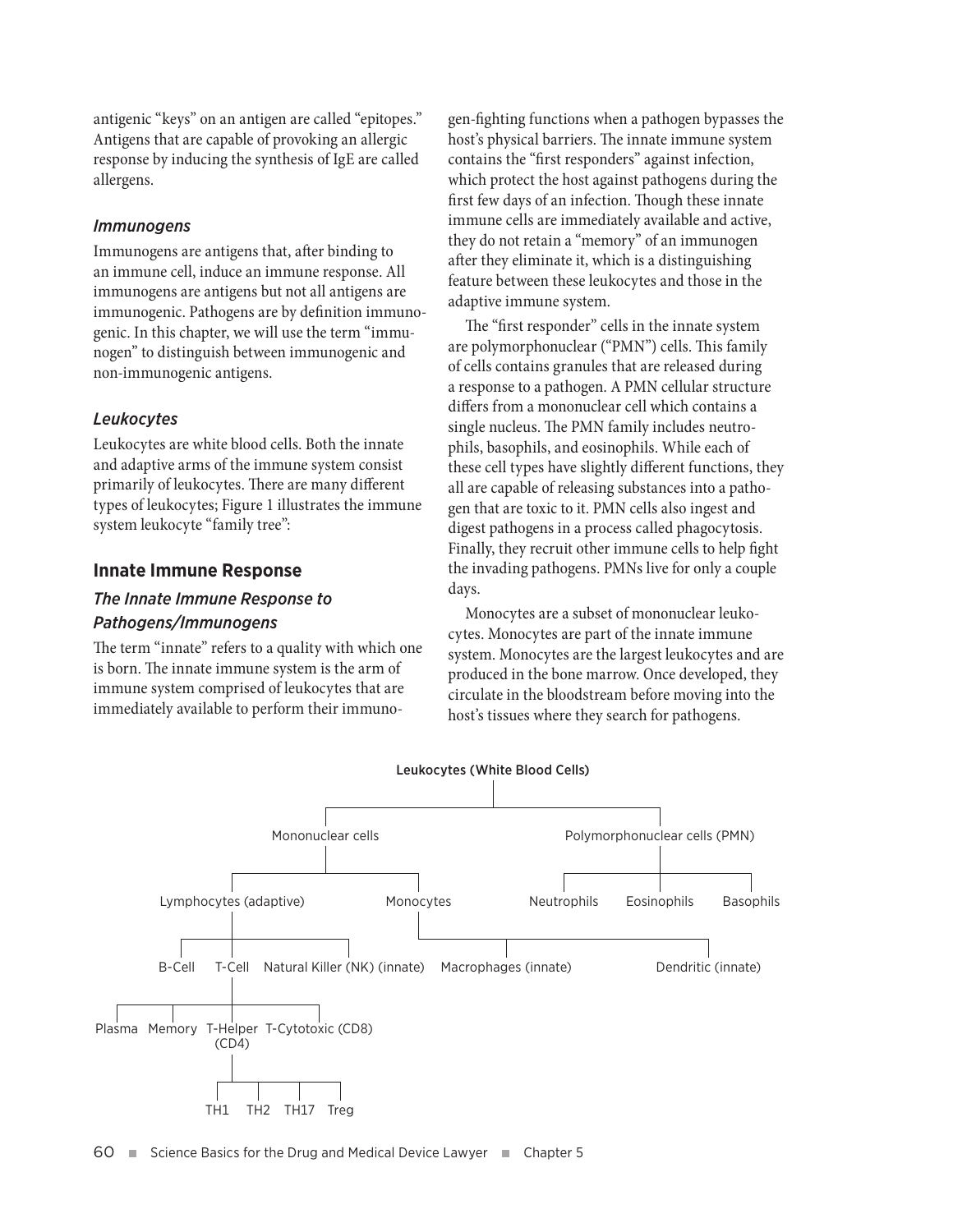antigenic "keys" on an antigen are called "epitopes." Antigens that are capable of provoking an allergic response by inducing the synthesis of IgE are called allergens.

#### *Immunogens*

Immunogens are antigens that, after binding to an immune cell, induce an immune response. All immunogens are antigens but not all antigens are immunogenic. Pathogens are by definition immunogenic. In this chapter, we will use the term "immunogen" to distinguish between immunogenic and non-immunogenic antigens.

# *Leukocytes*

Leukocytes are white blood cells. Both the innate and adaptive arms of the immune system consist primarily of leukocytes. There are many different types of leukocytes; Figure 1 illustrates the immune system leukocyte "family tree":

### **Innate Immune Response**

# *The Innate Immune Response to Pathogens/Immunogens*

The term "innate" refers to a quality with which one is born. The innate immune system is the arm of immune system comprised of leukocytes that are immediately available to perform their immunogen-fighting functions when a pathogen bypasses the host's physical barriers. The innate immune system contains the "first responders" against infection, which protect the host against pathogens during the first few days of an infection. Though these innate immune cells are immediately available and active, they do not retain a "memory" of an immunogen after they eliminate it, which is a distinguishing feature between these leukocytes and those in the adaptive immune system.

The "first responder" cells in the innate system are polymorphonuclear ("PMN") cells. This family of cells contains granules that are released during a response to a pathogen. A PMN cellular structure differs from a mononuclear cell which contains a single nucleus. The PMN family includes neutrophils, basophils, and eosinophils. While each of these cell types have slightly different functions, they all are capable of releasing substances into a pathogen that are toxic to it. PMN cells also ingest and digest pathogens in a process called phagocytosis. Finally, they recruit other immune cells to help fight the invading pathogens. PMNs live for only a couple days.

Monocytes are a subset of mononuclear leukocytes. Monocytes are part of the innate immune system. Monocytes are the largest leukocytes and are produced in the bone marrow. Once developed, they circulate in the bloodstream before moving into the host's tissues where they search for pathogens.

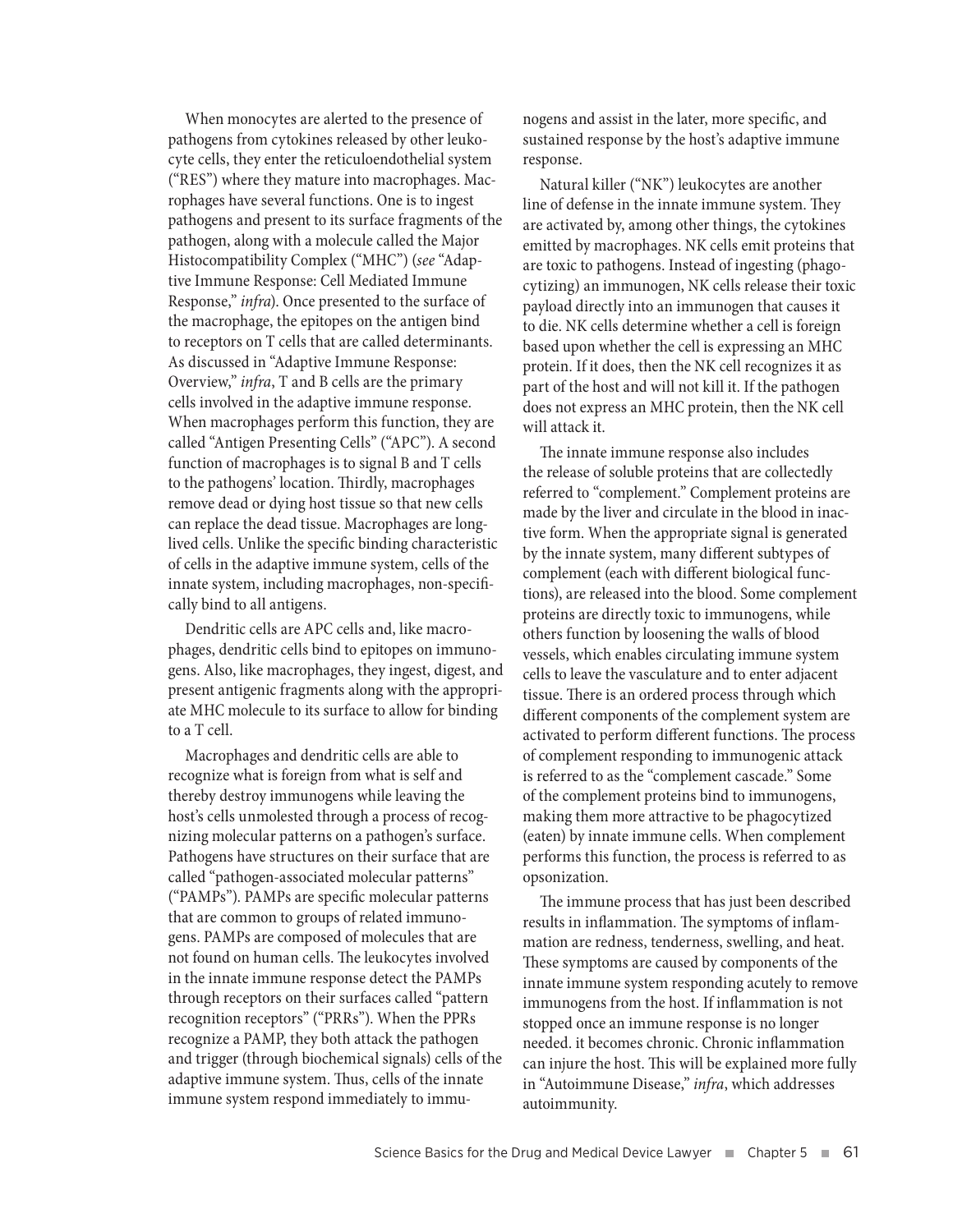When monocytes are alerted to the presence of pathogens from cytokines released by other leukocyte cells, they enter the reticuloendothelial system ("RES") where they mature into macrophages. Macrophages have several functions. One is to ingest pathogens and present to its surface fragments of the pathogen, along with a molecule called the Major Histocompatibility Complex ("MHC") (*see* "Adaptive Immune Response: Cell Mediated Immune Response," *infra*). Once presented to the surface of the macrophage, the epitopes on the antigen bind to receptors on T cells that are called determinants. As discussed in "Adaptive Immune Response: Overview," *infra*, T and B cells are the primary cells involved in the adaptive immune response. When macrophages perform this function, they are called "Antigen Presenting Cells" ("APC"). A second function of macrophages is to signal B and T cells to the pathogens' location. Thirdly, macrophages remove dead or dying host tissue so that new cells can replace the dead tissue. Macrophages are longlived cells. Unlike the specific binding characteristic of cells in the adaptive immune system, cells of the innate system, including macrophages, non-specifically bind to all antigens.

Dendritic cells are APC cells and, like macrophages, dendritic cells bind to epitopes on immunogens. Also, like macrophages, they ingest, digest, and present antigenic fragments along with the appropriate MHC molecule to its surface to allow for binding to a T cell.

Macrophages and dendritic cells are able to recognize what is foreign from what is self and thereby destroy immunogens while leaving the host's cells unmolested through a process of recognizing molecular patterns on a pathogen's surface. Pathogens have structures on their surface that are called "pathogen-associated molecular patterns" ("PAMPs"). PAMPs are specific molecular patterns that are common to groups of related immunogens. PAMPs are composed of molecules that are not found on human cells. The leukocytes involved in the innate immune response detect the PAMPs through receptors on their surfaces called "pattern recognition receptors" ("PRRs"). When the PPRs recognize a PAMP, they both attack the pathogen and trigger (through biochemical signals) cells of the adaptive immune system. Thus, cells of the innate immune system respond immediately to immunogens and assist in the later, more specific, and sustained response by the host's adaptive immune response.

Natural killer ("NK") leukocytes are another line of defense in the innate immune system. They are activated by, among other things, the cytokines emitted by macrophages. NK cells emit proteins that are toxic to pathogens. Instead of ingesting (phagocytizing) an immunogen, NK cells release their toxic payload directly into an immunogen that causes it to die. NK cells determine whether a cell is foreign based upon whether the cell is expressing an MHC protein. If it does, then the NK cell recognizes it as part of the host and will not kill it. If the pathogen does not express an MHC protein, then the NK cell will attack it.

The innate immune response also includes the release of soluble proteins that are collectedly referred to "complement." Complement proteins are made by the liver and circulate in the blood in inactive form. When the appropriate signal is generated by the innate system, many different subtypes of complement (each with different biological functions), are released into the blood. Some complement proteins are directly toxic to immunogens, while others function by loosening the walls of blood vessels, which enables circulating immune system cells to leave the vasculature and to enter adjacent tissue. There is an ordered process through which different components of the complement system are activated to perform different functions. The process of complement responding to immunogenic attack is referred to as the "complement cascade." Some of the complement proteins bind to immunogens, making them more attractive to be phagocytized (eaten) by innate immune cells. When complement performs this function, the process is referred to as opsonization.

The immune process that has just been described results in inflammation. The symptoms of inflammation are redness, tenderness, swelling, and heat. These symptoms are caused by components of the innate immune system responding acutely to remove immunogens from the host. If inflammation is not stopped once an immune response is no longer needed. it becomes chronic. Chronic inflammation can injure the host. This will be explained more fully in "Autoimmune Disease," *infra*, which addresses autoimmunity.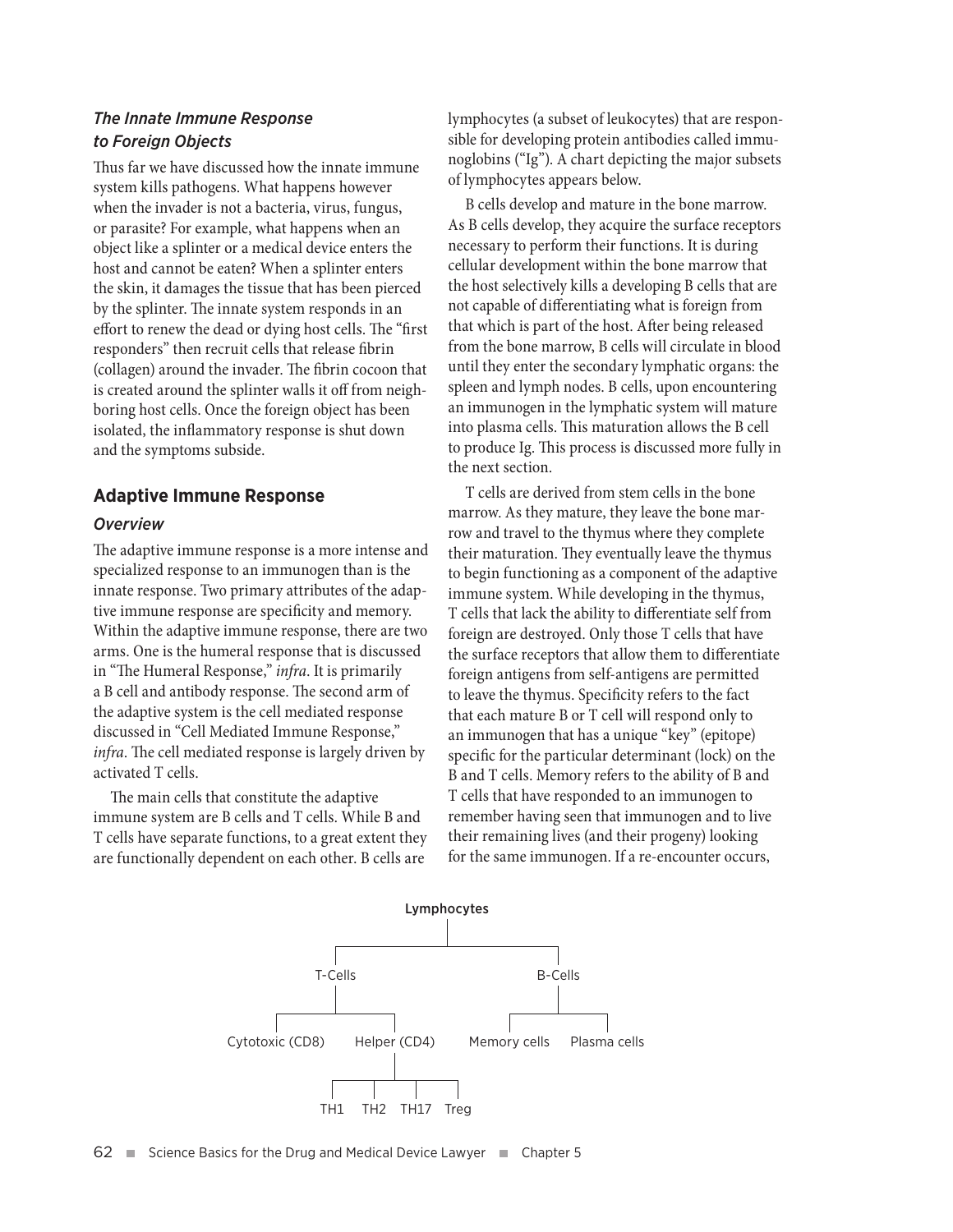# *The Innate Immune Response to Foreign Objects*

Thus far we have discussed how the innate immune system kills pathogens. What happens however when the invader is not a bacteria, virus, fungus, or parasite? For example, what happens when an object like a splinter or a medical device enters the host and cannot be eaten? When a splinter enters the skin, it damages the tissue that has been pierced by the splinter. The innate system responds in an effort to renew the dead or dying host cells. The "first responders" then recruit cells that release fibrin (collagen) around the invader. The fibrin cocoon that is created around the splinter walls it off from neighboring host cells. Once the foreign object has been isolated, the inflammatory response is shut down and the symptoms subside.

# **Adaptive Immune Response**

#### *Overview*

The adaptive immune response is a more intense and specialized response to an immunogen than is the innate response. Two primary attributes of the adaptive immune response are specificity and memory. Within the adaptive immune response, there are two arms. One is the humeral response that is discussed in "The Humeral Response," *infra*. It is primarily a B cell and antibody response. The second arm of the adaptive system is the cell mediated response discussed in "Cell Mediated Immune Response," *infra*. The cell mediated response is largely driven by activated T cells.

The main cells that constitute the adaptive immune system are B cells and T cells. While B and T cells have separate functions, to a great extent they are functionally dependent on each other. B cells are

lymphocytes (a subset of leukocytes) that are responsible for developing protein antibodies called immunoglobins ("Ig"). A chart depicting the major subsets of lymphocytes appears below.

B cells develop and mature in the bone marrow. As B cells develop, they acquire the surface receptors necessary to perform their functions. It is during cellular development within the bone marrow that the host selectively kills a developing B cells that are not capable of differentiating what is foreign from that which is part of the host. After being released from the bone marrow, B cells will circulate in blood until they enter the secondary lymphatic organs: the spleen and lymph nodes. B cells, upon encountering an immunogen in the lymphatic system will mature into plasma cells. This maturation allows the B cell to produce Ig. This process is discussed more fully in the next section.

T cells are derived from stem cells in the bone marrow. As they mature, they leave the bone marrow and travel to the thymus where they complete their maturation. They eventually leave the thymus to begin functioning as a component of the adaptive immune system. While developing in the thymus, T cells that lack the ability to differentiate self from foreign are destroyed. Only those T cells that have the surface receptors that allow them to differentiate foreign antigens from self-antigens are permitted to leave the thymus. Specificity refers to the fact that each mature B or T cell will respond only to an immunogen that has a unique "key" (epitope) specific for the particular determinant (lock) on the B and T cells. Memory refers to the ability of B and T cells that have responded to an immunogen to remember having seen that immunogen and to live their remaining lives (and their progeny) looking for the same immunogen. If a re-encounter occurs,

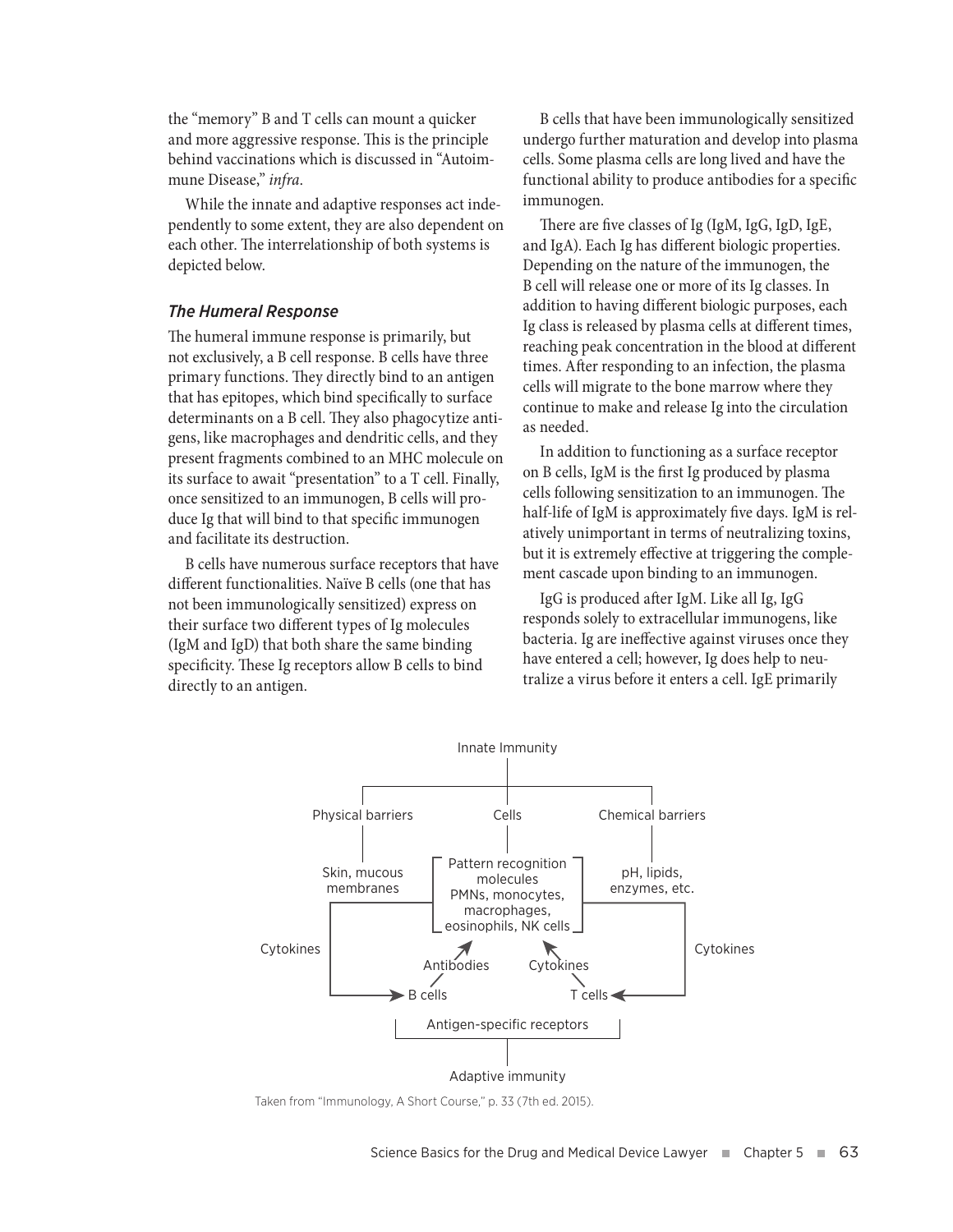the "memory" B and T cells can mount a quicker and more aggressive response. This is the principle behind vaccinations which is discussed in "Autoimmune Disease," *infra*.

While the innate and adaptive responses act independently to some extent, they are also dependent on each other. The interrelationship of both systems is depicted below.

#### *The Humeral Response*

The humeral immune response is primarily, but not exclusively, a B cell response. B cells have three primary functions. They directly bind to an antigen that has epitopes, which bind specifically to surface determinants on a B cell. They also phagocytize antigens, like macrophages and dendritic cells, and they present fragments combined to an MHC molecule on its surface to await "presentation" to a T cell. Finally, once sensitized to an immunogen, B cells will produce Ig that will bind to that specific immunogen and facilitate its destruction.

B cells have numerous surface receptors that have different functionalities. Naïve B cells (one that has not been immunologically sensitized) express on their surface two different types of Ig molecules (IgM and IgD) that both share the same binding specificity. These Ig receptors allow B cells to bind directly to an antigen.

B cells that have been immunologically sensitized undergo further maturation and develop into plasma cells. Some plasma cells are long lived and have the functional ability to produce antibodies for a specific immunogen.

There are five classes of Ig (IgM, IgG, IgD, IgE, and IgA). Each Ig has different biologic properties. Depending on the nature of the immunogen, the B cell will release one or more of its Ig classes. In addition to having different biologic purposes, each Ig class is released by plasma cells at different times, reaching peak concentration in the blood at different times. After responding to an infection, the plasma cells will migrate to the bone marrow where they continue to make and release Ig into the circulation as needed.

In addition to functioning as a surface receptor on B cells, IgM is the first Ig produced by plasma cells following sensitization to an immunogen. The half-life of IgM is approximately five days. IgM is relatively unimportant in terms of neutralizing toxins, but it is extremely effective at triggering the complement cascade upon binding to an immunogen.

IgG is produced after IgM. Like all Ig, IgG responds solely to extracellular immunogens, like bacteria. Ig are ineffective against viruses once they have entered a cell; however, Ig does help to neutralize a virus before it enters a cell. IgE primarily



Taken from "Immunology, A Short Course," p. 33 (7th ed. 2015).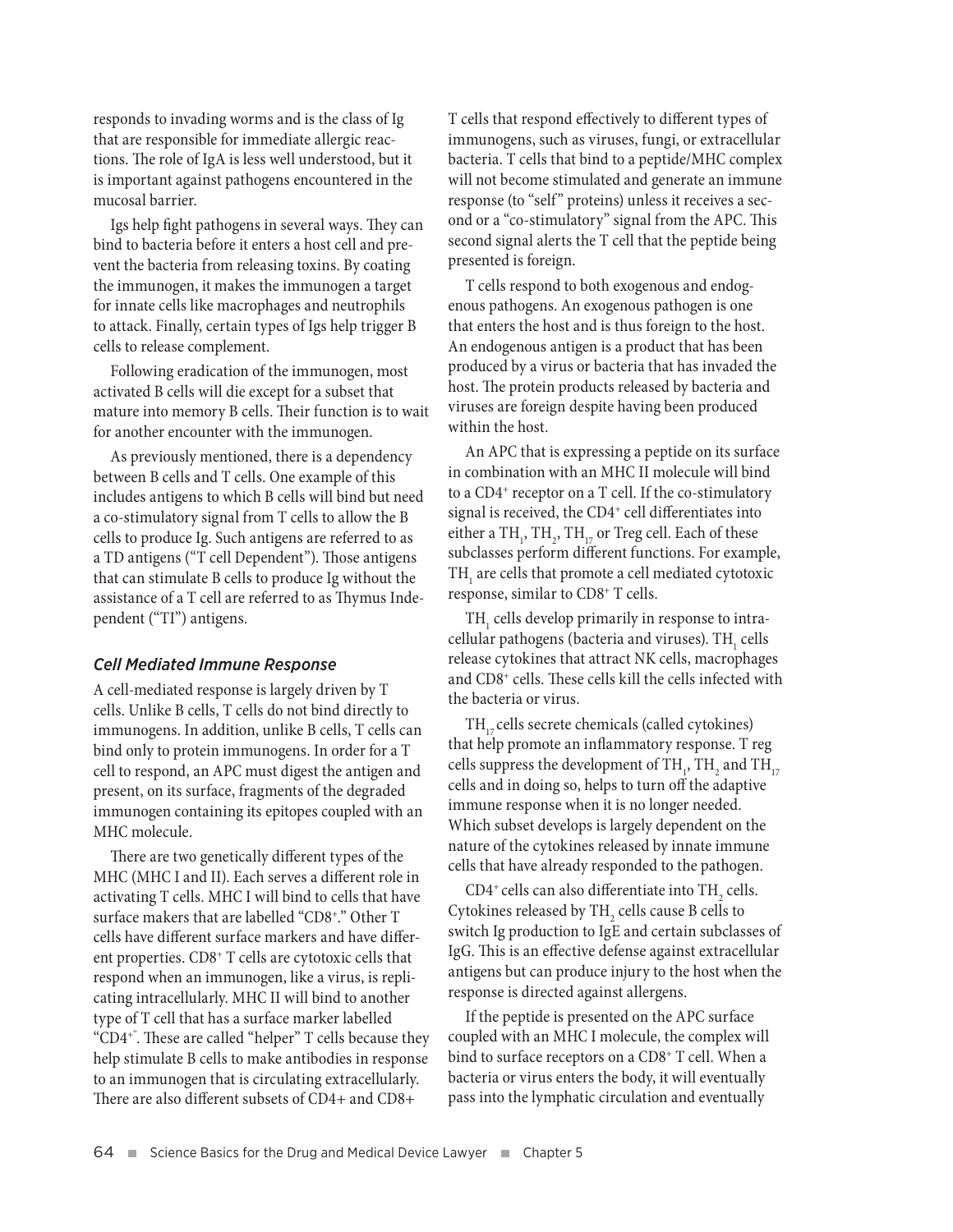responds to invading worms and is the class of Ig that are responsible for immediate allergic reactions. The role of IgA is less well understood, but it is important against pathogens encountered in the mucosal barrier.

Igs help fight pathogens in several ways. They can bind to bacteria before it enters a host cell and prevent the bacteria from releasing toxins. By coating the immunogen, it makes the immunogen a target for innate cells like macrophages and neutrophils to attack. Finally, certain types of Igs help trigger B cells to release complement.

Following eradication of the immunogen, most activated B cells will die except for a subset that mature into memory B cells. Their function is to wait for another encounter with the immunogen.

As previously mentioned, there is a dependency between B cells and T cells. One example of this includes antigens to which B cells will bind but need a co-stimulatory signal from T cells to allow the B cells to produce Ig. Such antigens are referred to as a TD antigens ("T cell Dependent"). Those antigens that can stimulate B cells to produce Ig without the assistance of a T cell are referred to as Thymus Independent ("TI") antigens.

#### *Cell Mediated Immune Response*

A cell-mediated response is largely driven by T cells. Unlike B cells, T cells do not bind directly to immunogens. In addition, unlike B cells, T cells can bind only to protein immunogens. In order for a T cell to respond, an APC must digest the antigen and present, on its surface, fragments of the degraded immunogen containing its epitopes coupled with an MHC molecule.

There are two genetically different types of the MHC (MHC I and II). Each serves a different role in activating T cells. MHC I will bind to cells that have surface makers that are labelled "CD8+ ." Other T cells have different surface markers and have different properties. CD8+ T cells are cytotoxic cells that respond when an immunogen, like a virus, is replicating intracellularly. MHC II will bind to another type of T cell that has a surface marker labelled "CD4+". These are called "helper" T cells because they help stimulate B cells to make antibodies in response to an immunogen that is circulating extracellularly. There are also different subsets of CD4+ and CD8+

T cells that respond effectively to different types of immunogens, such as viruses, fungi, or extracellular bacteria. T cells that bind to a peptide/MHC complex will not become stimulated and generate an immune response (to "self" proteins) unless it receives a second or a "co-stimulatory" signal from the APC. This second signal alerts the T cell that the peptide being presented is foreign.

T cells respond to both exogenous and endogenous pathogens. An exogenous pathogen is one that enters the host and is thus foreign to the host. An endogenous antigen is a product that has been produced by a virus or bacteria that has invaded the host. The protein products released by bacteria and viruses are foreign despite having been produced within the host.

An APC that is expressing a peptide on its surface in combination with an MHC II molecule will bind to a CD4+ receptor on a T cell. If the co-stimulatory signal is received, the CD4<sup>+</sup> cell differentiates into either a  $\text{TH}_1$ ,  $\text{TH}_2$ ,  $\text{TH}_{17}$  or Treg cell. Each of these subclasses perform different functions. For example,  $\mathrm{TH}_{_{1}}$  are cells that promote a cell mediated cytotoxic response, similar to CD8+ T cells.

 $TH_{1}$  cells develop primarily in response to intracellular pathogens (bacteria and viruses).  $\text{TH}_{_{\text{1}}}$  cells release cytokines that attract NK cells, macrophages and CD8+ cells. These cells kill the cells infected with the bacteria or virus.

 $TH_{17}$  cells secrete chemicals (called cytokines) that help promote an inflammatory response. T reg cells suppress the development of  $\mathrm{TH}_{_{1}}$ ,  $\mathrm{TH}_{_{2}}$  and  $\mathrm{TH}_{_{17}}$ cells and in doing so, helps to turn off the adaptive immune response when it is no longer needed. Which subset develops is largely dependent on the nature of the cytokines released by innate immune cells that have already responded to the pathogen.

CD4<sup>+</sup> cells can also differentiate into  $\text{TH}_{2}$  cells. Cytokines released by  $\mathrm{TH}_2$  cells cause B cells to switch Ig production to IgE and certain subclasses of IgG. This is an effective defense against extracellular antigens but can produce injury to the host when the response is directed against allergens.

If the peptide is presented on the APC surface coupled with an MHC I molecule, the complex will bind to surface receptors on a CD8<sup>+</sup> T cell. When a bacteria or virus enters the body, it will eventually pass into the lymphatic circulation and eventually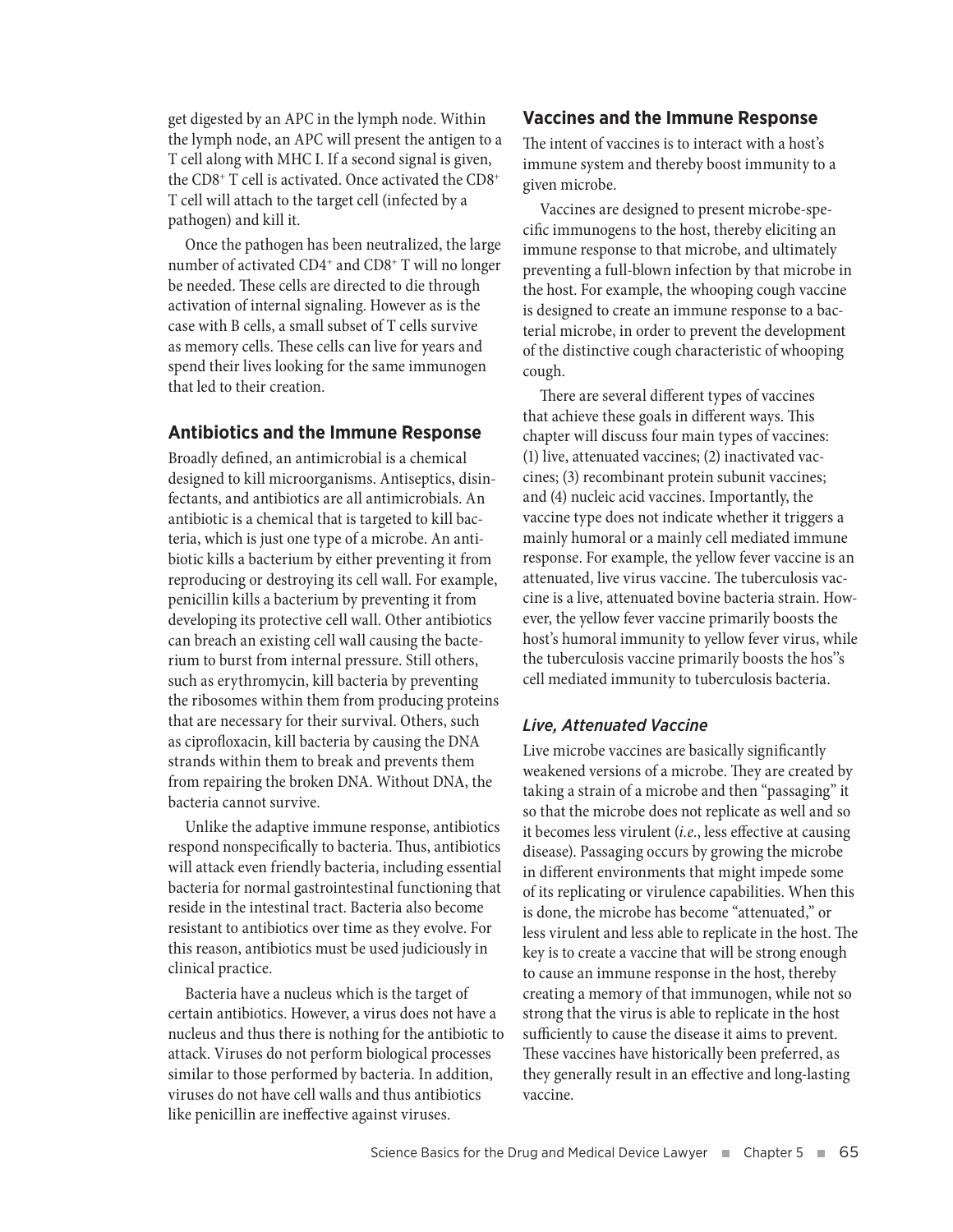get digested by an APC in the lymph node. Within the lymph node, an APC will present the antigen to a T cell along with MHC I. If a second signal is given, the CD8<sup>+</sup> T cell is activated. Once activated the CD8<sup>+</sup> T cell will attach to the target cell (infected by a pathogen) and kill it.

Once the pathogen has been neutralized, the large number of activated CD4<sup>+</sup> and CD8<sup>+</sup> T will no longer be needed. These cells are directed to die through activation of internal signaling. However as is the case with B cells, a small subset of T cells survive as memory cells. These cells can live for years and spend their lives looking for the same immunogen that led to their creation.

# **Antibiotics and the Immune Response**

Broadly defined, an antimicrobial is a chemical designed to kill microorganisms. Antiseptics, disinfectants, and antibiotics are all antimicrobials. An antibiotic is a chemical that is targeted to kill bacteria, which is just one type of a microbe. An antibiotic kills a bacterium by either preventing it from reproducing or destroying its cell wall. For example, penicillin kills a bacterium by preventing it from developing its protective cell wall. Other antibiotics can breach an existing cell wall causing the bacterium to burst from internal pressure. Still others, such as erythromycin, kill bacteria by preventing the ribosomes within them from producing proteins that are necessary for their survival. Others, such as ciprofloxacin, kill bacteria by causing the DNA strands within them to break and prevents them from repairing the broken DNA. Without DNA, the bacteria cannot survive.

Unlike the adaptive immune response, antibiotics respond nonspecifically to bacteria. Thus, antibiotics will attack even friendly bacteria, including essential bacteria for normal gastrointestinal functioning that reside in the intestinal tract. Bacteria also become resistant to antibiotics over time as they evolve. For this reason, antibiotics must be used judiciously in clinical practice.

Bacteria have a nucleus which is the target of certain antibiotics. However, a virus does not have a nucleus and thus there is nothing for the antibiotic to attack. Viruses do not perform biological processes similar to those performed by bacteria. In addition, viruses do not have cell walls and thus antibiotics like penicillin are ineffective against viruses.

# **Vaccines and the Immune Response**

The intent of vaccines is to interact with a host's immune system and thereby boost immunity to a given microbe.

Vaccines are designed to present microbe-specific immunogens to the host, thereby eliciting an immune response to that microbe, and ultimately preventing a full-blown infection by that microbe in the host. For example, the whooping cough vaccine is designed to create an immune response to a bacterial microbe, in order to prevent the development of the distinctive cough characteristic of whooping cough.

There are several different types of vaccines that achieve these goals in different ways. This chapter will discuss four main types of vaccines: (1) live, attenuated vaccines; (2) inactivated vaccines; (3) recombinant protein subunit vaccines; and (4) nucleic acid vaccines. Importantly, the vaccine type does not indicate whether it triggers a mainly humoral or a mainly cell mediated immune response. For example, the yellow fever vaccine is an attenuated, live virus vaccine. The tuberculosis vaccine is a live, attenuated bovine bacteria strain. However, the yellow fever vaccine primarily boosts the host's humoral immunity to yellow fever virus, while the tuberculosis vaccine primarily boosts the hos''s cell mediated immunity to tuberculosis bacteria.

# *Live, Attenuated Vaccine*

Live microbe vaccines are basically significantly weakened versions of a microbe. They are created by taking a strain of a microbe and then "passaging" it so that the microbe does not replicate as well and so it becomes less virulent (*i.e.*, less effective at causing disease). Passaging occurs by growing the microbe in different environments that might impede some of its replicating or virulence capabilities. When this is done, the microbe has become "attenuated," or less virulent and less able to replicate in the host. The key is to create a vaccine that will be strong enough to cause an immune response in the host, thereby creating a memory of that immunogen, while not so strong that the virus is able to replicate in the host sufficiently to cause the disease it aims to prevent. These vaccines have historically been preferred, as they generally result in an effective and long-lasting vaccine.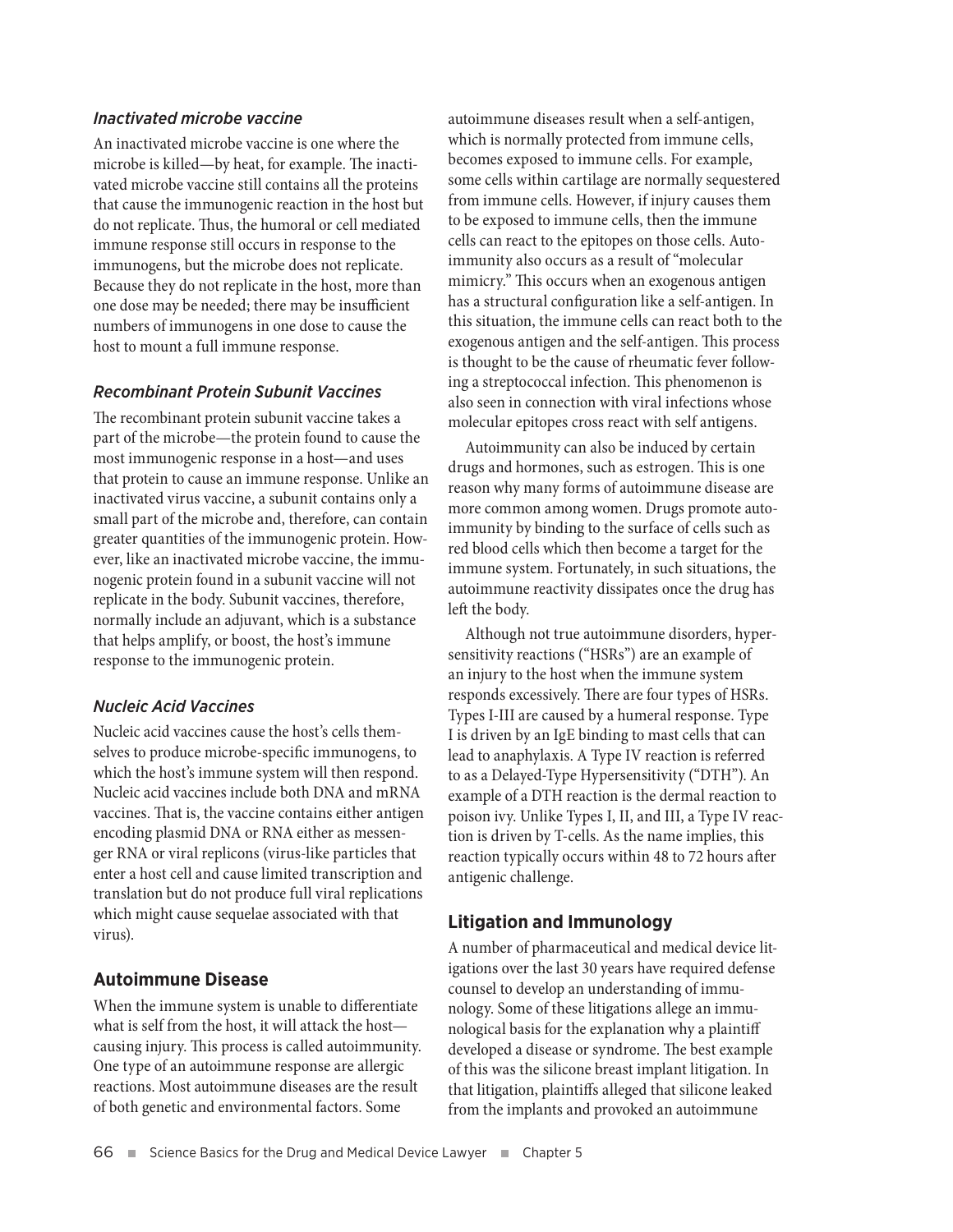# *Inactivated microbe vaccine*

An inactivated microbe vaccine is one where the microbe is killed—by heat, for example. The inactivated microbe vaccine still contains all the proteins that cause the immunogenic reaction in the host but do not replicate. Thus, the humoral or cell mediated immune response still occurs in response to the immunogens, but the microbe does not replicate. Because they do not replicate in the host, more than one dose may be needed; there may be insufficient numbers of immunogens in one dose to cause the host to mount a full immune response.

# *Recombinant Protein Subunit Vaccines*

The recombinant protein subunit vaccine takes a part of the microbe—the protein found to cause the most immunogenic response in a host—and uses that protein to cause an immune response. Unlike an inactivated virus vaccine, a subunit contains only a small part of the microbe and, therefore, can contain greater quantities of the immunogenic protein. However, like an inactivated microbe vaccine, the immunogenic protein found in a subunit vaccine will not replicate in the body. Subunit vaccines, therefore, normally include an adjuvant, which is a substance that helps amplify, or boost, the host's immune response to the immunogenic protein.

# *Nucleic Acid Vaccines*

Nucleic acid vaccines cause the host's cells themselves to produce microbe-specific immunogens, to which the host's immune system will then respond. Nucleic acid vaccines include both DNA and mRNA vaccines. That is, the vaccine contains either antigen encoding plasmid DNA or RNA either as messenger RNA or viral replicons (virus-like particles that enter a host cell and cause limited transcription and translation but do not produce full viral replications which might cause sequelae associated with that virus).

# **Autoimmune Disease**

When the immune system is unable to differentiate what is self from the host, it will attack the host causing injury. This process is called autoimmunity. One type of an autoimmune response are allergic reactions. Most autoimmune diseases are the result of both genetic and environmental factors. Some

autoimmune diseases result when a self-antigen, which is normally protected from immune cells, becomes exposed to immune cells. For example, some cells within cartilage are normally sequestered from immune cells. However, if injury causes them to be exposed to immune cells, then the immune cells can react to the epitopes on those cells. Autoimmunity also occurs as a result of "molecular mimicry." This occurs when an exogenous antigen has a structural configuration like a self-antigen. In this situation, the immune cells can react both to the exogenous antigen and the self-antigen. This process is thought to be the cause of rheumatic fever following a streptococcal infection. This phenomenon is also seen in connection with viral infections whose molecular epitopes cross react with self antigens.

Autoimmunity can also be induced by certain drugs and hormones, such as estrogen. This is one reason why many forms of autoimmune disease are more common among women. Drugs promote autoimmunity by binding to the surface of cells such as red blood cells which then become a target for the immune system. Fortunately, in such situations, the autoimmune reactivity dissipates once the drug has left the body.

Although not true autoimmune disorders, hypersensitivity reactions ("HSRs") are an example of an injury to the host when the immune system responds excessively. There are four types of HSRs. Types I-III are caused by a humeral response. Type I is driven by an IgE binding to mast cells that can lead to anaphylaxis. A Type IV reaction is referred to as a Delayed-Type Hypersensitivity ("DTH"). An example of a DTH reaction is the dermal reaction to poison ivy. Unlike Types I, II, and III, a Type IV reaction is driven by T-cells. As the name implies, this reaction typically occurs within 48 to 72 hours after antigenic challenge.

# **Litigation and Immunology**

A number of pharmaceutical and medical device litigations over the last 30 years have required defense counsel to develop an understanding of immunology. Some of these litigations allege an immunological basis for the explanation why a plaintiff developed a disease or syndrome. The best example of this was the silicone breast implant litigation. In that litigation, plaintiffs alleged that silicone leaked from the implants and provoked an autoimmune